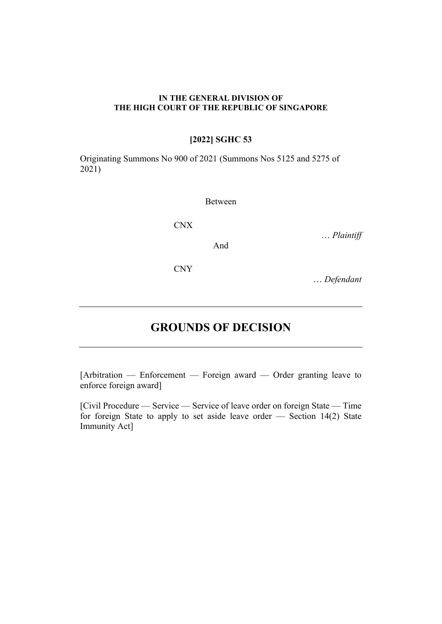#### **IN THE GENERAL DIVISION OF THE HIGH COURT OF THE REPUBLIC OF SINGAPORE**

# **[2022] SGHC 53**

Originating Summons No 900 of 2021 (Summons Nos 5125 and 5275 of 2021)

#### Between

And

CNX

… *Plaintiff* 

CNY

… *Defendant*

# **GROUNDS OF DECISION**

[Arbitration — Enforcement — Foreign award — Order granting leave to enforce foreign award]

[Civil Procedure — Service — Service of leave order on foreign State — Time for foreign State to apply to set aside leave order — Section 14(2) State Immunity Act]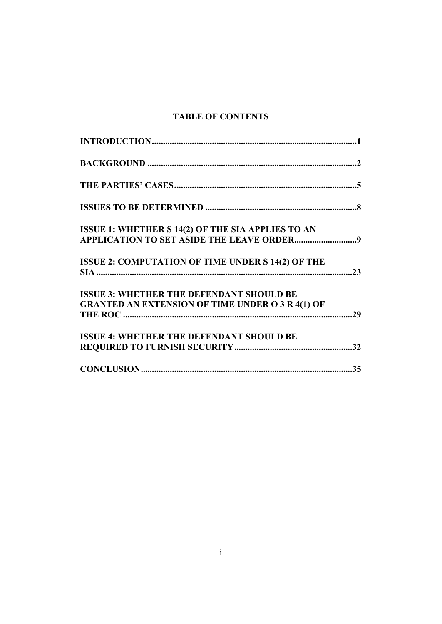# **TABLE OF CONTENTS**

| <b>ISSUE 1: WHETHER S 14(2) OF THE SIA APPLIES TO AN</b> |  |
|----------------------------------------------------------|--|
|                                                          |  |
| ISSUE 2: COMPUTATION OF TIME UNDER S 14(2) OF THE        |  |
|                                                          |  |
| <b>ISSUE 3: WHETHER THE DEFENDANT SHOULD BE</b>          |  |
| <b>GRANTED AN EXTENSION OF TIME UNDER O 3 R 4(1) OF</b>  |  |
|                                                          |  |
| <b>ISSUE 4: WHETHER THE DEFENDANT SHOULD BE</b>          |  |
|                                                          |  |
|                                                          |  |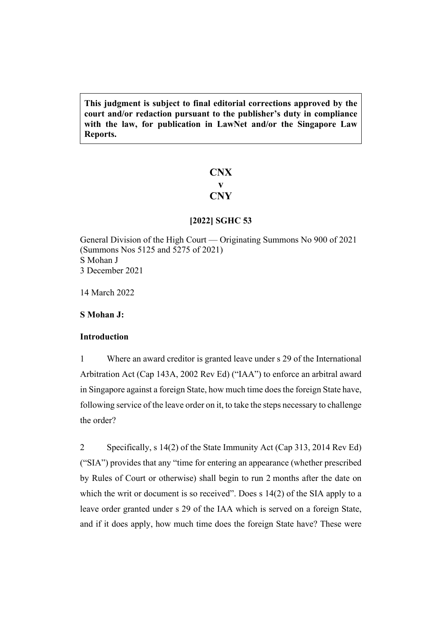**This judgment is subject to final editorial corrections approved by the court and/or redaction pursuant to the publisher's duty in compliance with the law, for publication in LawNet and/or the Singapore Law Reports.**

# **CNX v CNY**

# **[2022] SGHC 53**

General Division of the High Court — Originating Summons No 900 of 2021 (Summons Nos 5125 and 5275 of 2021) S Mohan J 3 December 2021

14 March 2022

<span id="page-2-0"></span>**S Mohan J:**

# <span id="page-2-1"></span>**Introduction**

1 Where an award creditor is granted leave under s 29 of the International Arbitration Act (Cap 143A, 2002 Rev Ed) ("IAA") to enforce an arbitral award in Singapore against a foreign State, how much time does the foreign State have, following service of the leave order on it, to take the steps necessary to challenge the order?

<span id="page-2-2"></span>2 Specifically, s 14(2) of the State Immunity Act (Cap 313, 2014 Rev Ed) ("SIA") provides that any "time for entering an appearance (whether prescribed by Rules of Court or otherwise) shall begin to run 2 months after the date on which the writ or document is so received". Does s 14(2) of the SIA apply to a leave order granted under s 29 of the IAA which is served on a foreign State, and if it does apply, how much time does the foreign State have? These were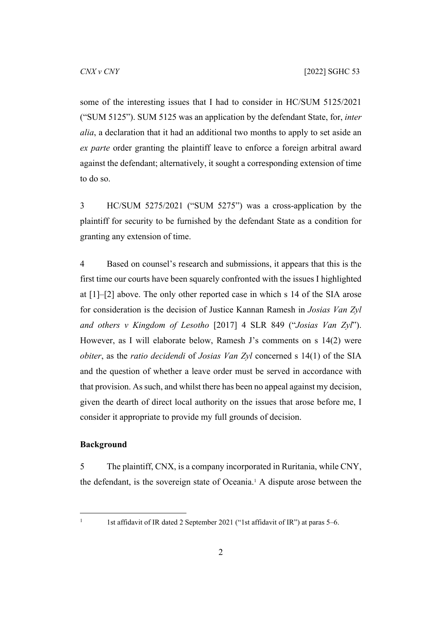some of the interesting issues that I had to consider in HC/SUM 5125/2021 ("SUM 5125"). SUM 5125 was an application by the defendant State, for, *inter alia*, a declaration that it had an additional two months to apply to set aside an *ex parte* order granting the plaintiff leave to enforce a foreign arbitral award against the defendant; alternatively, it sought a corresponding extension of time to do so.

3 HC/SUM 5275/2021 ("SUM 5275") was a cross-application by the plaintiff for security to be furnished by the defendant State as a condition for granting any extension of time.

4 Based on counsel's research and submissions, it appears that this is the first time our courts have been squarely confronted with the issues I highlighted at [\[1](#page-2-1)]–[\[2](#page-2-2)] above. The only other reported case in which s 14 of the SIA arose for consideration is the decision of Justice Kannan Ramesh in *Josias Van Zyl and others v Kingdom of Lesotho* [2017] 4 SLR 849 ("*Josias Van Zyl*"). However, as I will elaborate below, Ramesh J's comments on s 14(2) were *obiter*, as the *ratio decidendi* of *Josias Van Zyl* concerned s 14(1) of the SIA and the question of whether a leave order must be served in accordance with that provision. As such, and whilst there has been no appeal against my decision, given the dearth of direct local authority on the issues that arose before me, I consider it appropriate to provide my full grounds of decision.

# <span id="page-3-1"></span><span id="page-3-0"></span>**Background**

5 The plaintiff, CNX, is a company incorporated in Ruritania, while CNY, the defendant, is the sovereign state of Oceania.<sup>1</sup> A dispute arose between the

1

 <sup>1</sup>st affidavit of IR dated 2 September 2021 ("1st affidavit of IR") at paras 5–6.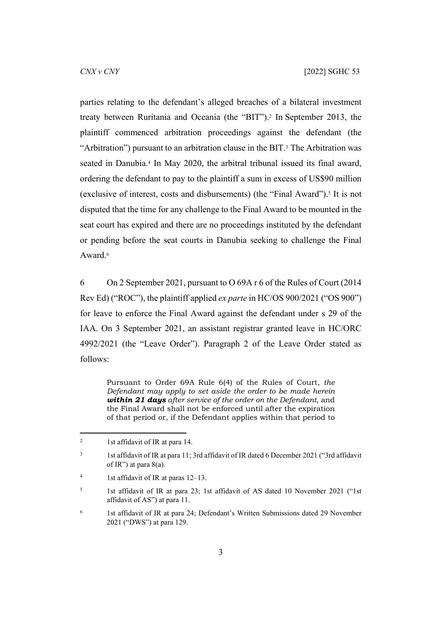parties relating to the defendant's alleged breaches of a bilateral investment treaty between Ruritania and Oceania (the "BIT").<sup>2</sup> In September 2013, the plaintiff commenced arbitration proceedings against the defendant (the "Arbitration") pursuant to an arbitration clause in the BIT.<sup>3</sup> The Arbitration was seated in Danubia.<sup>4</sup> In May 2020, the arbitral tribunal issued its final award, ordering the defendant to pay to the plaintiff a sum in excess of US\$90 million (exclusive of interest, costs and disbursements) (the "Final Award").<sup>5</sup> It is not disputed that the time for any challenge to the Final Award to be mounted in the seat court has expired and there are no proceedings instituted by the defendant or pending before the seat courts in Danubia seeking to challenge the Final Award.<sup>6</sup>

6 On 2 September 2021, pursuant to O 69A r 6 of the Rules of Court (2014 Rev Ed) ("ROC"), the plaintiff applied *ex parte* in HC/OS 900/2021 ("OS 900") for leave to enforce the Final Award against the defendant under s 29 of the IAA. On 3 September 2021, an assistant registrar granted leave in HC/ORC 4992/2021 (the "Leave Order"). Paragraph 2 of the Leave Order stated as follows:

Pursuant to Order 69A Rule 6(4) of the Rules of Court, *the Defendant may apply to set aside the order to be made herein within 21 days after service of the order on the Defendant*, and the Final Award shall not be enforced until after the expiration of that period or, if the Defendant applies within that period to

<sup>2</sup> 1st affidavit of IR at para 14.

<sup>3</sup> 1st affidavit of IR at para 11; 3rd affidavit of IR dated 6 December 2021 ("3rd affidavit of IR") at para  $8(a)$ .

<sup>4</sup> 1st affidavit of IR at paras 12–13.

<sup>5</sup> 1st affidavit of IR at para 23; 1st affidavit of AS dated 10 November 2021 ("1st affidavit of AS") at para 11.

<sup>6</sup> 1st affidavit of IR at para 24; Defendant's Written Submissions dated 29 November 2021 ("DWS") at para 129.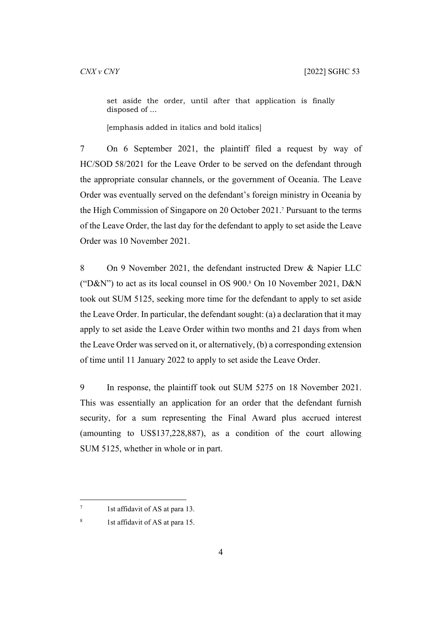set aside the order, until after that application is finally disposed of ...

[emphasis added in italics and bold italics]

<span id="page-5-0"></span>7 On 6 September 2021, the plaintiff filed a request by way of HC/SOD 58/2021 for the Leave Order to be served on the defendant through the appropriate consular channels, or the government of Oceania. The Leave Order was eventually served on the defendant's foreign ministry in Oceania by the High Commission of Singapore on 20 October 2021.<sup>7</sup> Pursuant to the terms of the Leave Order, the last day for the defendant to apply to set aside the Leave Order was 10 November 2021.

8 On 9 November 2021, the defendant instructed Drew & Napier LLC ("D&N") to act as its local counsel in OS 900.<sup>8</sup> On 10 November 2021, D&N took out SUM 5125, seeking more time for the defendant to apply to set aside the Leave Order. In particular, the defendant sought: (a) a declaration that it may apply to set aside the Leave Order within two months and 21 days from when the Leave Order was served on it, or alternatively, (b) a corresponding extension of time until 11 January 2022 to apply to set aside the Leave Order.

9 In response, the plaintiff took out SUM 5275 on 18 November 2021. This was essentially an application for an order that the defendant furnish security, for a sum representing the Final Award plus accrued interest (amounting to US\$137,228,887), as a condition of the court allowing SUM 5125, whether in whole or in part.

7

 <sup>1</sup>st affidavit of AS at para 13.

<sup>8</sup> 1st affidavit of AS at para 15.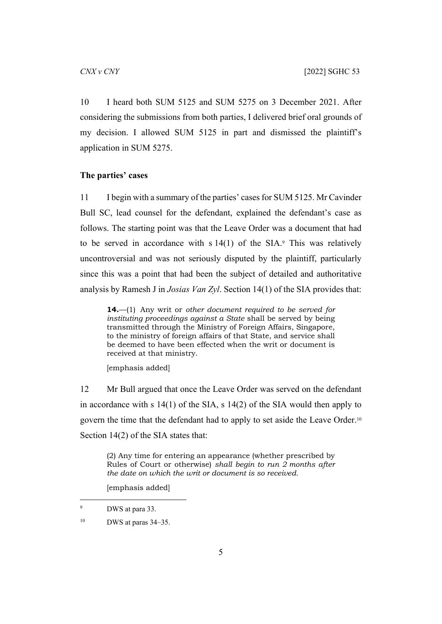10 I heard both SUM 5125 and SUM 5275 on 3 December 2021. After considering the submissions from both parties, I delivered brief oral grounds of my decision. I allowed SUM 5125 in part and dismissed the plaintiff's application in SUM 5275.

#### <span id="page-6-1"></span><span id="page-6-0"></span>**The parties' cases**

11 I begin with a summary of the parties' cases for SUM 5125. Mr Cavinder Bull SC, lead counsel for the defendant, explained the defendant's case as follows. The starting point was that the Leave Order was a document that had to be served in accordance with  $s14(1)$  of the SIA.<sup>9</sup> This was relatively uncontroversial and was not seriously disputed by the plaintiff, particularly since this was a point that had been the subject of detailed and authoritative analysis by Ramesh J in *Josias Van Zyl*. Section 14(1) of the SIA provides that:

**14.**—(1) Any writ or *other document required to be served for instituting proceedings against a State* shall be served by being transmitted through the Ministry of Foreign Affairs, Singapore, to the ministry of foreign affairs of that State, and service shall be deemed to have been effected when the writ or document is received at that ministry.

[emphasis added]

12 Mr Bull argued that once the Leave Order was served on the defendant in accordance with s 14(1) of the SIA, s 14(2) of the SIA would then apply to govern the time that the defendant had to apply to set aside the Leave Order.<sup>10</sup> Section 14(2) of the SIA states that:

(2) Any time for entering an appearance (whether prescribed by Rules of Court or otherwise) *shall begin to run 2 months after the date on which the writ or document is so received.*

[emphasis added]

 $10$  DWS at paras 34–35.

<sup>9</sup> DWS at para 33.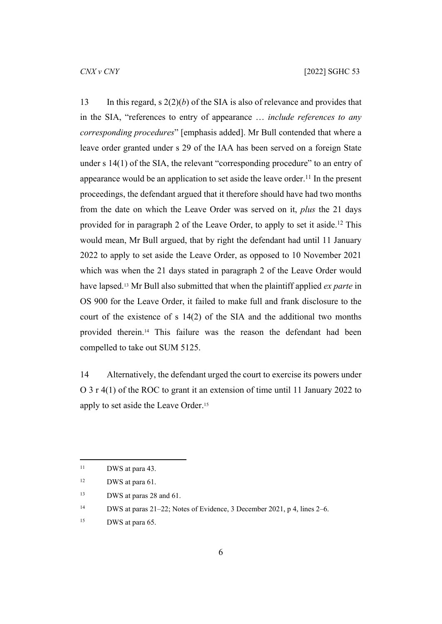13 In this regard, s  $2(2)(b)$  of the SIA is also of relevance and provides that in the SIA, "references to entry of appearance … *include references to any corresponding procedures*" [emphasis added]. Mr Bull contended that where a leave order granted under s 29 of the IAA has been served on a foreign State under s 14(1) of the SIA, the relevant "corresponding procedure" to an entry of appearance would be an application to set aside the leave order.<sup>11</sup> In the present proceedings, the defendant argued that it therefore should have had two months from the date on which the Leave Order was served on it, *plus* the 21 days provided for in paragraph 2 of the Leave Order, to apply to set it aside.<sup>12</sup> This would mean, Mr Bull argued, that by right the defendant had until 11 January 2022 to apply to set aside the Leave Order, as opposed to 10 November 2021 which was when the 21 days stated in paragraph 2 of the Leave Order would have lapsed.13 Mr Bull also submitted that when the plaintiff applied *ex parte* in OS 900 for the Leave Order, it failed to make full and frank disclosure to the court of the existence of s 14(2) of the SIA and the additional two months provided therein.14 This failure was the reason the defendant had been compelled to take out SUM 5125.

14 Alternatively, the defendant urged the court to exercise its powers under O 3 r 4(1) of the ROC to grant it an extension of time until 11 January 2022 to apply to set aside the Leave Order.<sup>15</sup>

<sup>&</sup>lt;sup>11</sup> DWS at para 43.

<sup>12</sup> DWS at para 61.

<sup>&</sup>lt;sup>13</sup> DWS at paras 28 and 61.

<sup>14</sup> DWS at paras 21–22; Notes of Evidence, 3 December 2021, p 4, lines 2–6.

<sup>&</sup>lt;sup>15</sup> DWS at para 65.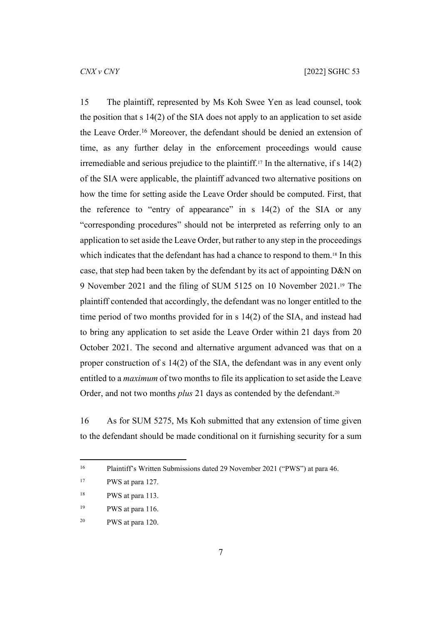<span id="page-8-0"></span>15 The plaintiff, represented by Ms Koh Swee Yen as lead counsel, took the position that s 14(2) of the SIA does not apply to an application to set aside the Leave Order.<sup>16</sup> Moreover, the defendant should be denied an extension of time, as any further delay in the enforcement proceedings would cause irremediable and serious prejudice to the plaintiff.<sup>17</sup> In the alternative, if s  $14(2)$ of the SIA were applicable, the plaintiff advanced two alternative positions on how the time for setting aside the Leave Order should be computed. First, that the reference to "entry of appearance" in s 14(2) of the SIA or any "corresponding procedures" should not be interpreted as referring only to an application to set aside the Leave Order, but rather to any step in the proceedings which indicates that the defendant has had a chance to respond to them.18 In this case, that step had been taken by the defendant by its act of appointing D&N on 9 November 2021 and the filing of SUM 5125 on 10 November 2021.19 The plaintiff contended that accordingly, the defendant was no longer entitled to the time period of two months provided for in s 14(2) of the SIA, and instead had to bring any application to set aside the Leave Order within 21 days from 20 October 2021. The second and alternative argument advanced was that on a proper construction of s 14(2) of the SIA, the defendant was in any event only entitled to a *maximum* of two months to file its application to set aside the Leave Order, and not two months *plus* 21 days as contended by the defendant.<sup>20</sup>

16 As for SUM 5275, Ms Koh submitted that any extension of time given to the defendant should be made conditional on it furnishing security for a sum

<sup>16</sup> Plaintiff's Written Submissions dated 29 November 2021 ("PWS") at para 46.

<sup>&</sup>lt;sup>17</sup> PWS at para 127.

<sup>&</sup>lt;sup>18</sup> PWS at para 113.

<sup>19</sup> PWS at para 116.

<sup>20</sup> PWS at para 120.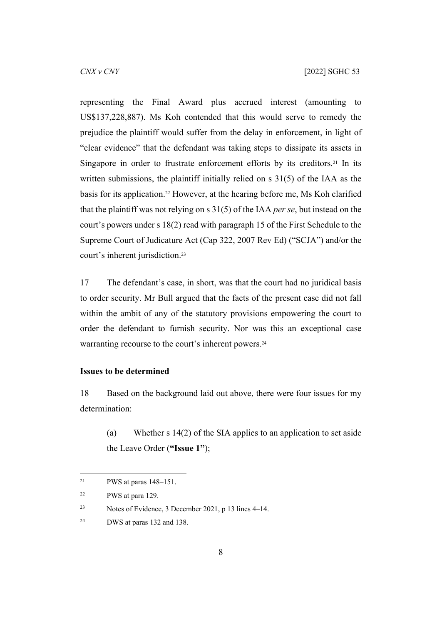representing the Final Award plus accrued interest (amounting to US\$137,228,887). Ms Koh contended that this would serve to remedy the prejudice the plaintiff would suffer from the delay in enforcement, in light of "clear evidence" that the defendant was taking steps to dissipate its assets in Singapore in order to frustrate enforcement efforts by its creditors.<sup>21</sup> In its written submissions, the plaintiff initially relied on s 31(5) of the IAA as the basis for its application.22 However, at the hearing before me, Ms Koh clarified that the plaintiff was not relying on s 31(5) of the IAA *per se*, but instead on the court's powers under s 18(2) read with paragraph 15 of the First Schedule to the Supreme Court of Judicature Act (Cap 322, 2007 Rev Ed) ("SCJA") and/or the court's inherent jurisdiction.<sup>23</sup>

17 The defendant's case, in short, was that the court had no juridical basis to order security. Mr Bull argued that the facts of the present case did not fall within the ambit of any of the statutory provisions empowering the court to order the defendant to furnish security. Nor was this an exceptional case warranting recourse to the court's inherent powers.<sup>24</sup>

# <span id="page-9-0"></span>**Issues to be determined**

18 Based on the background laid out above, there were four issues for my determination:

(a) Whether s 14(2) of the SIA applies to an application to set aside the Leave Order (**"Issue 1"**);

<sup>&</sup>lt;sup>21</sup> PWS at paras  $148-151$ .

<sup>22</sup> PWS at para 129.

<sup>23</sup> Notes of Evidence, 3 December 2021, p 13 lines 4–14.

<sup>24</sup> DWS at paras 132 and 138.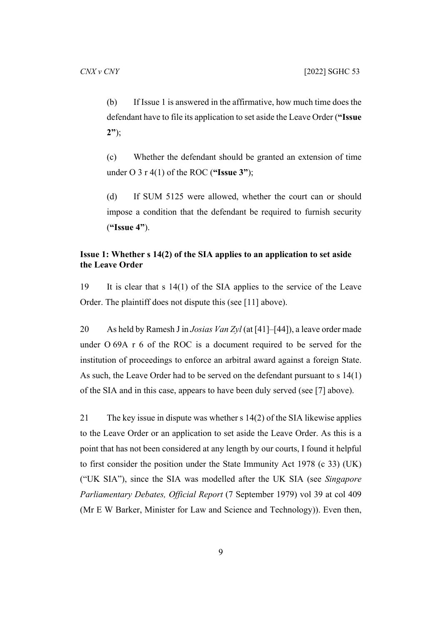(b) If Issue 1 is answered in the affirmative, how much time does the defendant have to file its application to set aside the Leave Order (**"Issue 2"**);

(c) Whether the defendant should be granted an extension of time under O 3 r 4(1) of the ROC (**"Issue 3"**);

(d) If SUM 5125 were allowed, whether the court can or should impose a condition that the defendant be required to furnish security (**"Issue 4"**).

# <span id="page-10-0"></span>**Issue 1: Whether s 14(2) of the SIA applies to an application to set aside the Leave Order**

19 It is clear that s 14(1) of the SIA applies to the service of the Leave Order. The plaintiff does not dispute this (see [[11\]](#page-6-1) above).

20 As held by Ramesh J in *Josias Van Zyl* (at [41]–[44]), a leave order made under O 69A r 6 of the ROC is a document required to be served for the institution of proceedings to enforce an arbitral award against a foreign State. As such, the Leave Order had to be served on the defendant pursuant to s 14(1) of the SIA and in this case, appears to have been duly served (see [[7\]](#page-5-0) above).

21 The key issue in dispute was whether s 14(2) of the SIA likewise applies to the Leave Order or an application to set aside the Leave Order. As this is a point that has not been considered at any length by our courts, I found it helpful to first consider the position under the State Immunity Act 1978 (c 33) (UK) ("UK SIA"), since the SIA was modelled after the UK SIA (see *Singapore Parliamentary Debates, Official Report* (7 September 1979) vol 39 at col 409 (Mr E W Barker, Minister for Law and Science and Technology)). Even then,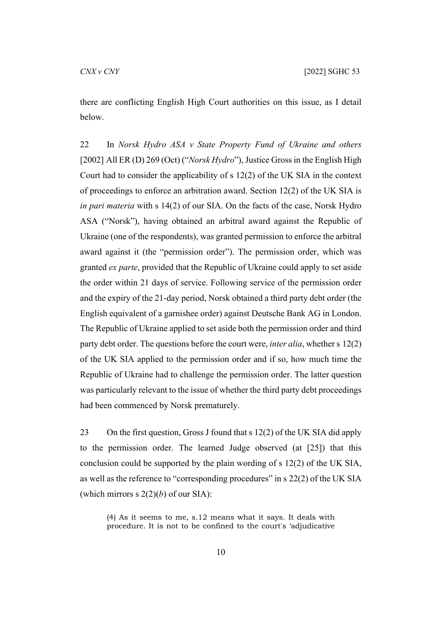there are conflicting English High Court authorities on this issue, as I detail below.

22 In *Norsk Hydro ASA v State Property Fund of Ukraine and others*  [2002] All ER (D) 269 (Oct) ("*Norsk Hydro*"), Justice Gross in the English High Court had to consider the applicability of s 12(2) of the UK SIA in the context of proceedings to enforce an arbitration award. Section 12(2) of the UK SIA is *in pari materia* with s 14(2) of our SIA. On the facts of the case, Norsk Hydro ASA ("Norsk"), having obtained an arbitral award against the Republic of Ukraine (one of the respondents), was granted permission to enforce the arbitral award against it (the "permission order"). The permission order, which was granted *ex parte*, provided that the Republic of Ukraine could apply to set aside the order within 21 days of service. Following service of the permission order and the expiry of the 21-day period, Norsk obtained a third party debt order (the English equivalent of a garnishee order) against Deutsche Bank AG in London. The Republic of Ukraine applied to set aside both the permission order and third party debt order. The questions before the court were, *inter alia*, whether s 12(2) of the UK SIA applied to the permission order and if so, how much time the Republic of Ukraine had to challenge the permission order. The latter question was particularly relevant to the issue of whether the third party debt proceedings had been commenced by Norsk prematurely.

23 On the first question, Gross J found that s 12(2) of the UK SIA did apply to the permission order. The learned Judge observed (at [25]) that this conclusion could be supported by the plain wording of s 12(2) of the UK SIA, as well as the reference to "corresponding procedures" in s 22(2) of the UK SIA (which mirrors s  $2(2)(b)$  of our SIA):

(4) As it seems to me, s.12 means what it says. It deals with procedure. It is not to be confined to the court's 'adjudicative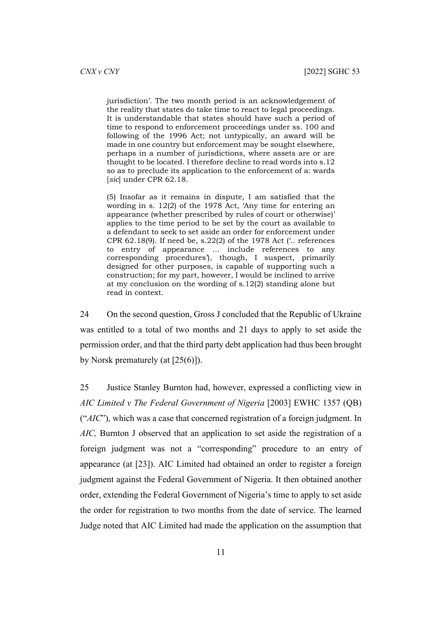jurisdiction'. The two month period is an acknowledgement of the reality that states do take time to react to legal proceedings. It is understandable that states should have such a period of time to respond to enforcement proceedings under ss. 100 and following of the 1996 Act; not untypically, an award will be made in one country but enforcement may be sought elsewhere, perhaps in a number of jurisdictions, where assets are or are thought to be located. I therefore decline to read words into s.12 so as to preclude its application to the enforcement of a: wards [*sic*] under CPR 62.18.

(5) Insofar as it remains in dispute, I am satisfied that the wording in s. 12(2) of the 1978 Act, 'Any time for entering an appearance (whether prescribed by rules of court or otherwise)' applies to the time period to be set by the court as available to a defendant to seek to set aside an order for enforcement under CPR 62.18(9). If need be, s.22(2) of the 1978 Act ('.. references to entry of appearance … include references to any corresponding procedures'), though, I suspect, primarily designed for other purposes, is capable of supporting such a construction; for my part, however, I would be inclined to arrive at my conclusion on the wording of s.12(2) standing alone but read in context.

24 On the second question, Gross J concluded that the Republic of Ukraine was entitled to a total of two months and 21 days to apply to set aside the permission order, and that the third party debt application had thus been brought by Norsk prematurely (at [25(6)]).

25 Justice Stanley Burnton had, however, expressed a conflicting view in *AIC Limited v The Federal Government of Nigeria* [2003] EWHC 1357 (QB) ("*AIC*"), which was a case that concerned registration of a foreign judgment. In *AIC,* Burnton J observed that an application to set aside the registration of a foreign judgment was not a "corresponding" procedure to an entry of appearance (at [23]). AIC Limited had obtained an order to register a foreign judgment against the Federal Government of Nigeria. It then obtained another order, extending the Federal Government of Nigeria's time to apply to set aside the order for registration to two months from the date of service. The learned Judge noted that AIC Limited had made the application on the assumption that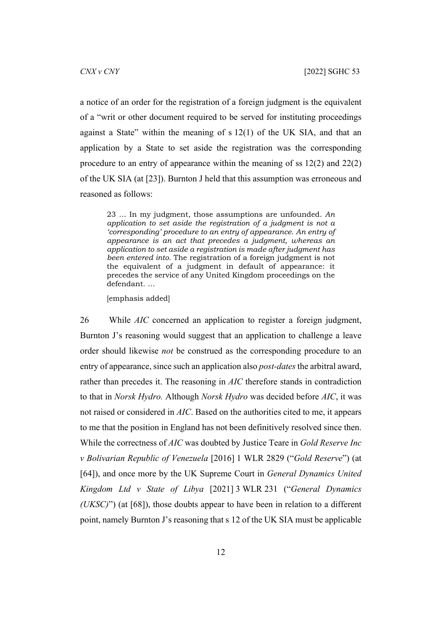a notice of an order for the registration of a foreign judgment is the equivalent of a "writ or other document required to be served for instituting proceedings against a State" within the meaning of s 12(1) of the UK SIA, and that an application by a State to set aside the registration was the corresponding procedure to an entry of appearance within the meaning of ss 12(2) and 22(2) of the UK SIA (at [23]). Burnton J held that this assumption was erroneous and reasoned as follows:

23 … In my judgment, those assumptions are unfounded. *An application to set aside the registration of a judgment is not a 'corresponding' procedure to an entry of appearance. An entry of appearance is an act that precedes a judgment, whereas an application to set aside a registration is made after judgment has been entered into.* The registration of a foreign judgment is not the equivalent of a judgment in default of appearance: it precedes the service of any United Kingdom proceedings on the defendant. …

<span id="page-13-0"></span>[emphasis added]

26 While *AIC* concerned an application to register a foreign judgment, Burnton J's reasoning would suggest that an application to challenge a leave order should likewise *not* be construed as the corresponding procedure to an entry of appearance, since such an application also *post-dates* the arbitral award, rather than precedes it. The reasoning in *AIC* therefore stands in contradiction to that in *Norsk Hydro.* Although *Norsk Hydro* was decided before *AIC*, it was not raised or considered in *AIC*. Based on the authorities cited to me, it appears to me that the position in England has not been definitively resolved since then. While the correctness of *AIC* was doubted by Justice Teare in *Gold Reserve Inc v Bolivarian Republic of Venezuela* [2016] 1 WLR 2829 ("*Gold Reserve*") (at [64]), and once more by the UK Supreme Court in *General Dynamics United Kingdom Ltd v State of Libya* [2021] 3 WLR 231 ("*General Dynamics (UKSC)*") (at [68]), those doubts appear to have been in relation to a different point, namely Burnton J's reasoning that s 12 of the UK SIA must be applicable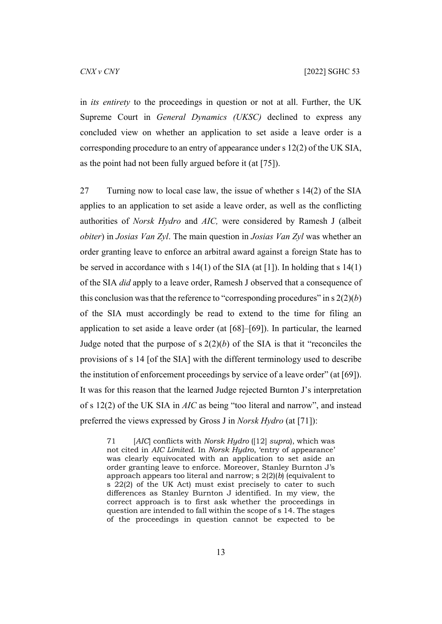in *its entirety* to the proceedings in question or not at all. Further, the UK Supreme Court in *General Dynamics (UKSC)* declined to express any concluded view on whether an application to set aside a leave order is a corresponding procedure to an entry of appearance under s 12(2) of the UK SIA, as the point had not been fully argued before it (at [75]).

27 Turning now to local case law, the issue of whether s 14(2) of the SIA applies to an application to set aside a leave order, as well as the conflicting authorities of *Norsk Hydro* and *AIC,* were considered by Ramesh J (albeit *obiter*) in *Josias Van Zyl*. The main question in *Josias Van Zyl* was whether an order granting leave to enforce an arbitral award against a foreign State has to be served in accordance with s  $14(1)$  of the SIA (at [1]). In holding that s  $14(1)$ of the SIA *did* apply to a leave order, Ramesh J observed that a consequence of this conclusion was that the reference to "corresponding procedures" in  $s$  2(2)(*b*) of the SIA must accordingly be read to extend to the time for filing an application to set aside a leave order (at [68]–[69]). In particular, the learned Judge noted that the purpose of  $s$  2(2)(*b*) of the SIA is that it "reconciles the provisions of s 14 [of the SIA] with the different terminology used to describe the institution of enforcement proceedings by service of a leave order" (at [69]). It was for this reason that the learned Judge rejected Burnton J's interpretation of s 12(2) of the UK SIA in *AIC* as being "too literal and narrow", and instead preferred the views expressed by Gross J in *Norsk Hydro* (at [71]):

71 [*AIC*] conflicts with *Norsk Hydro* ([12] *supra*), which was not cited in *AIC Limited*. In *Norsk Hydro*, 'entry of appearance' was clearly equivocated with an application to set aside an order granting leave to enforce. Moreover, Stanley Burnton J's approach appears too literal and narrow; s 2(2)(*b*) (equivalent to s 22(2) of the UK Act) must exist precisely to cater to such differences as Stanley Burnton J identified. In my view, the correct approach is to first ask whether the proceedings in question are intended to fall within the scope of s 14. The stages of the proceedings in question cannot be expected to be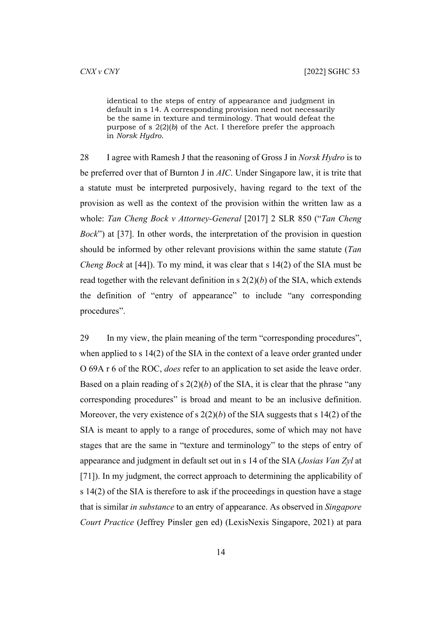identical to the steps of entry of appearance and judgment in default in s 14. A corresponding provision need not necessarily be the same in texture and terminology. That would defeat the purpose of s 2(2)(*b*) of the Act. I therefore prefer the approach in *Norsk Hydro*.

<span id="page-15-0"></span>28 I agree with Ramesh J that the reasoning of Gross J in *Norsk Hydro* is to be preferred over that of Burnton J in *AIC*. Under Singapore law, it is trite that a statute must be interpreted purposively, having regard to the text of the provision as well as the context of the provision within the written law as a whole: *Tan Cheng Bock v Attorney-General* [2017] 2 SLR 850 ("*Tan Cheng Bock*") at [37]. In other words, the interpretation of the provision in question should be informed by other relevant provisions within the same statute (*Tan Cheng Bock* at [44]). To my mind, it was clear that s 14(2) of the SIA must be read together with the relevant definition in  $s$   $2(2)(b)$  of the SIA, which extends the definition of "entry of appearance" to include "any corresponding procedures".

<span id="page-15-1"></span>29 In my view, the plain meaning of the term "corresponding procedures", when applied to s 14(2) of the SIA in the context of a leave order granted under O 69A r 6 of the ROC, *does* refer to an application to set aside the leave order. Based on a plain reading of s  $2(2)(b)$  of the SIA, it is clear that the phrase "any corresponding procedures" is broad and meant to be an inclusive definition. Moreover, the very existence of s 2(2)(*b*) of the SIA suggests that s 14(2) of the SIA is meant to apply to a range of procedures, some of which may not have stages that are the same in "texture and terminology" to the steps of entry of appearance and judgment in default set out in s 14 of the SIA (*Josias Van Zyl* at [71]). In my judgment, the correct approach to determining the applicability of s 14(2) of the SIA is therefore to ask if the proceedings in question have a stage that is similar *in substance* to an entry of appearance. As observed in *Singapore Court Practice* (Jeffrey Pinsler gen ed) (LexisNexis Singapore, 2021) at para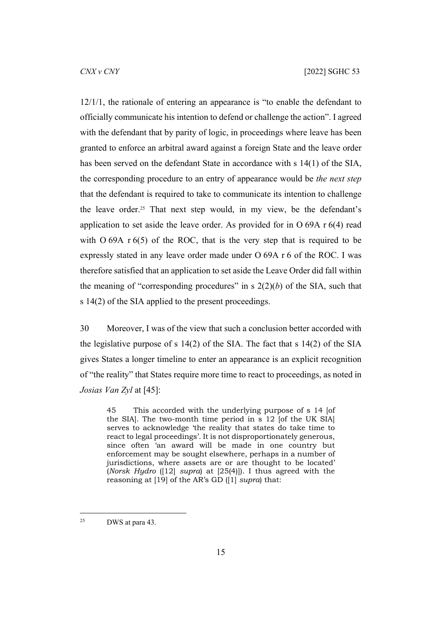12/1/1, the rationale of entering an appearance is "to enable the defendant to officially communicate his intention to defend or challenge the action". I agreed with the defendant that by parity of logic, in proceedings where leave has been granted to enforce an arbitral award against a foreign State and the leave order has been served on the defendant State in accordance with s 14(1) of the SIA, the corresponding procedure to an entry of appearance would be *the next step* that the defendant is required to take to communicate its intention to challenge the leave order.25 That next step would, in my view, be the defendant's application to set aside the leave order. As provided for in O 69A r 6(4) read with  $O$  69A r 6(5) of the ROC, that is the very step that is required to be expressly stated in any leave order made under O 69A r 6 of the ROC. I was therefore satisfied that an application to set aside the Leave Order did fall within the meaning of "corresponding procedures" in s  $2(2)(b)$  of the SIA, such that s 14(2) of the SIA applied to the present proceedings.

<span id="page-16-0"></span>30 Moreover, I was of the view that such a conclusion better accorded with the legislative purpose of s 14(2) of the SIA. The fact that s 14(2) of the SIA gives States a longer timeline to enter an appearance is an explicit recognition of "the reality" that States require more time to react to proceedings, as noted in *Josias Van Zyl* at [45]:

45 This accorded with the underlying purpose of s 14 [of the SIA]. The two-month time period in s 12 [of the UK SIA] serves to acknowledge 'the reality that states do take time to react to legal proceedings'. It is not disproportionately generous, since often 'an award will be made in one country but enforcement may be sought elsewhere, perhaps in a number of jurisdictions, where assets are or are thought to be located' (*Norsk Hydro* ([12] *supra*) at [25(4)]). I thus agreed with the reasoning at [19] of the AR's GD ([1] *supra*) that:

<sup>25</sup> DWS at para 43.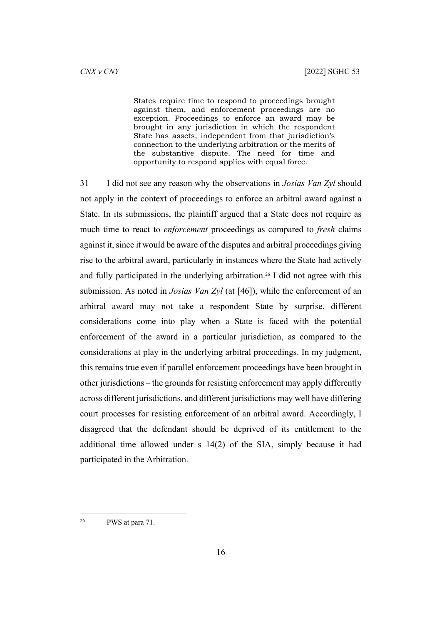States require time to respond to proceedings brought against them, and enforcement proceedings are no exception. Proceedings to enforce an award may be brought in any jurisdiction in which the respondent State has assets, independent from that jurisdiction's connection to the underlying arbitration or the merits of the substantive dispute. The need for time and opportunity to respond applies with equal force.

<span id="page-17-0"></span>31 I did not see any reason why the observations in *Josias Van Zyl* should not apply in the context of proceedings to enforce an arbitral award against a State. In its submissions, the plaintiff argued that a State does not require as much time to react to *enforcement* proceedings as compared to *fresh* claims against it, since it would be aware of the disputes and arbitral proceedings giving rise to the arbitral award, particularly in instances where the State had actively and fully participated in the underlying arbitration.26 I did not agree with this submission. As noted in *Josias Van Zyl* (at [46]), while the enforcement of an arbitral award may not take a respondent State by surprise, different considerations come into play when a State is faced with the potential enforcement of the award in a particular jurisdiction, as compared to the considerations at play in the underlying arbitral proceedings. In my judgment, this remains true even if parallel enforcement proceedings have been brought in other jurisdictions – the grounds for resisting enforcement may apply differently across different jurisdictions, and different jurisdictions may well have differing court processes for resisting enforcement of an arbitral award. Accordingly, I disagreed that the defendant should be deprived of its entitlement to the additional time allowed under s 14(2) of the SIA, simply because it had participated in the Arbitration.

<sup>26</sup> PWS at para 71.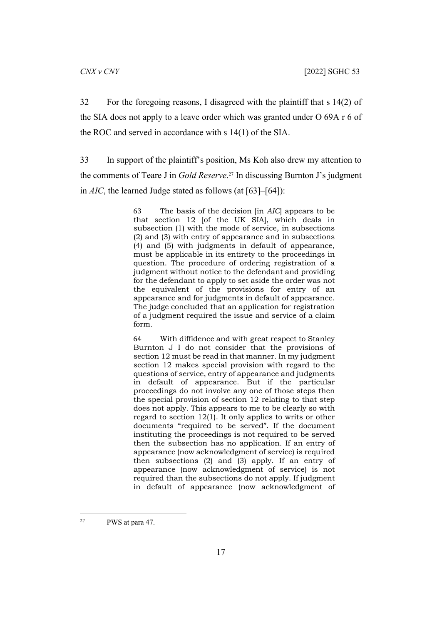32 For the foregoing reasons, I disagreed with the plaintiff that s 14(2) of the SIA does not apply to a leave order which was granted under O 69A r 6 of the ROC and served in accordance with s 14(1) of the SIA.

33 In support of the plaintiff's position, Ms Koh also drew my attention to the comments of Teare J in *Gold Reserve*. <sup>27</sup> In discussing Burnton J's judgment in *AIC*, the learned Judge stated as follows (at [63]–[64]):

> 63 The basis of the decision [in *AIC*] appears to be that section 12 [of the UK SIA], which deals in subsection (1) with the mode of service, in subsections (2) and (3) with entry of appearance and in subsections (4) and (5) with judgments in default of appearance, must be applicable in its entirety to the proceedings in question. The procedure of ordering registration of a judgment without notice to the defendant and providing for the defendant to apply to set aside the order was not the equivalent of the provisions for entry of an appearance and for judgments in default of appearance. The judge concluded that an application for registration of a judgment required the issue and service of a claim form.

> 64 With diffidence and with great respect to Stanley Burnton J I do not consider that the provisions of section 12 must be read in that manner. In my judgment section 12 makes special provision with regard to the questions of service, entry of appearance and judgments in default of appearance. But if the particular proceedings do not involve any one of those steps then the special provision of section 12 relating to that step does not apply. This appears to me to be clearly so with regard to section 12(1). It only applies to writs or other documents "required to be served". If the document instituting the proceedings is not required to be served then the subsection has no application. If an entry of appearance (now acknowledgment of service) is required then subsections (2) and (3) apply. If an entry of appearance (now acknowledgment of service) is not required than the subsections do not apply. If judgment in default of appearance (now acknowledgment of

<sup>27</sup> PWS at para 47.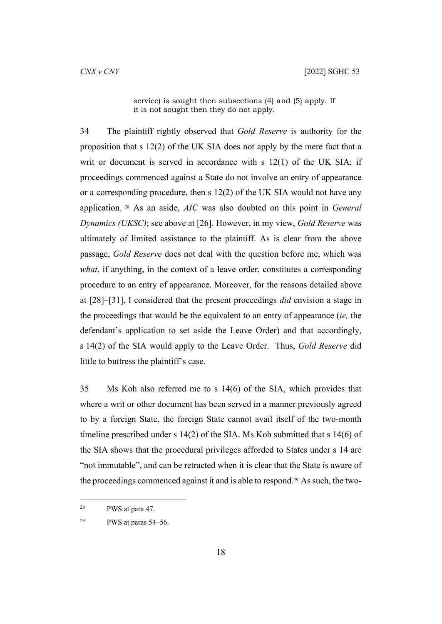service) is sought then subsections (4) and (5) apply. If it is not sought then they do not apply.

34 The plaintiff rightly observed that *Gold Reserve* is authority for the proposition that s 12(2) of the UK SIA does not apply by the mere fact that a writ or document is served in accordance with  $s$  12(1) of the UK SIA; if proceedings commenced against a State do not involve an entry of appearance or a corresponding procedure, then s 12(2) of the UK SIA would not have any application. 28 As an aside, *AIC* was also doubted on this point in *General Dynamics (UKSC)*; see above at [\[26](#page-13-0)]. However, in my view, *Gold Reserve* was ultimately of limited assistance to the plaintiff. As is clear from the above passage, *Gold Reserve* does not deal with the question before me, which was *what*, if anything, in the context of a leave order, constitutes a corresponding procedure to an entry of appearance. Moreover, for the reasons detailed above at [\[28](#page-15-0)]–[\[31](#page-17-0)], I considered that the present proceedings *did* envision a stage in the proceedings that would be the equivalent to an entry of appearance (*ie,* the defendant's application to set aside the Leave Order) and that accordingly, s 14(2) of the SIA would apply to the Leave Order. Thus, *Gold Reserve* did little to buttress the plaintiff's case.

35 Ms Koh also referred me to s 14(6) of the SIA, which provides that where a writ or other document has been served in a manner previously agreed to by a foreign State, the foreign State cannot avail itself of the two-month timeline prescribed under s 14(2) of the SIA. Ms Koh submitted that s 14(6) of the SIA shows that the procedural privileges afforded to States under s 14 are "not immutable", and can be retracted when it is clear that the State is aware of the proceedings commenced against it and is able to respond.29 As such, the two-

<sup>28</sup> PWS at para 47.

<sup>&</sup>lt;sup>29</sup> PWS at paras  $54-56$ .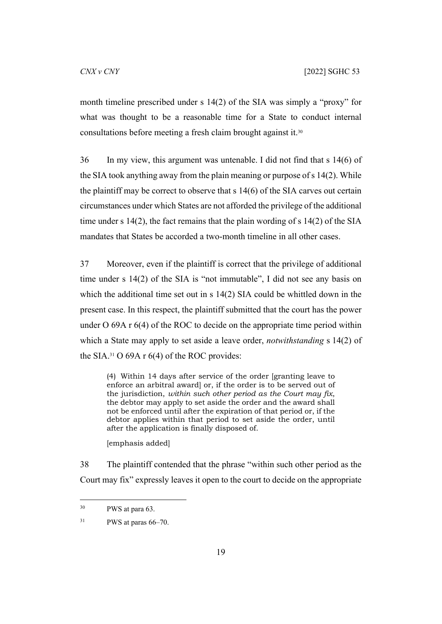month timeline prescribed under s 14(2) of the SIA was simply a "proxy" for what was thought to be a reasonable time for a State to conduct internal consultations before meeting a fresh claim brought against it.<sup>30</sup>

36 In my view, this argument was untenable. I did not find that s 14(6) of the SIA took anything away from the plain meaning or purpose of s 14(2). While the plaintiff may be correct to observe that s 14(6) of the SIA carves out certain circumstances under which States are not afforded the privilege of the additional time under s 14(2), the fact remains that the plain wording of s 14(2) of the SIA mandates that States be accorded a two-month timeline in all other cases.

37 Moreover, even if the plaintiff is correct that the privilege of additional time under s 14(2) of the SIA is "not immutable", I did not see any basis on which the additional time set out in s 14(2) SIA could be whittled down in the present case. In this respect, the plaintiff submitted that the court has the power under O 69A r 6(4) of the ROC to decide on the appropriate time period within which a State may apply to set aside a leave order, *notwithstanding* s 14(2) of the SIA.<sup>31</sup> O 69A r  $6(4)$  of the ROC provides:

(4) Within 14 days after service of the order [granting leave to enforce an arbitral award] or, if the order is to be served out of the jurisdiction, *within such other period as the Court may fix*, the debtor may apply to set aside the order and the award shall not be enforced until after the expiration of that period or, if the debtor applies within that period to set aside the order, until after the application is finally disposed of.

[emphasis added]

<span id="page-20-0"></span>38 The plaintiff contended that the phrase "within such other period as the Court may fix" expressly leaves it open to the court to decide on the appropriate

<sup>30</sup> PWS at para 63.

 $31$  PWS at paras 66–70.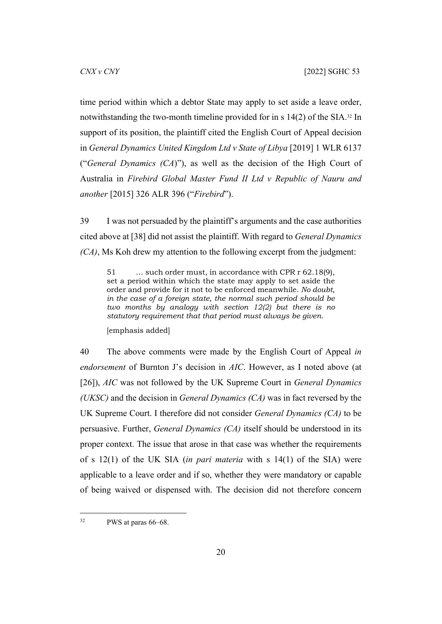time period within which a debtor State may apply to set aside a leave order, notwithstanding the two-month timeline provided for in s 14(2) of the SIA.32 In support of its position, the plaintiff cited the English Court of Appeal decision in *General Dynamics United Kingdom Ltd v State of Libya* [2019] 1 WLR 6137 ("*General Dynamics (CA*)"), as well as the decision of the High Court of Australia in *Firebird Global Master Fund II Ltd v Republic of Nauru and another* [2015] 326 ALR 396 ("*Firebird*").

39 I was not persuaded by the plaintiff's arguments and the case authorities cited above at [[38\]](#page-20-0) did not assist the plaintiff. With regard to *General Dynamics (CA)*, Ms Koh drew my attention to the following excerpt from the judgment:

51 … such order must, in accordance with CPR r 62.18(9), set a period within which the state may apply to set aside the order and provide for it not to be enforced meanwhile. *No doubt, in the case of a foreign state, the normal such period should be two months by analogy with section 12(2) but there is no statutory requirement that that period must always be given.*

[emphasis added]

40 The above comments were made by the English Court of Appeal *in endorsement* of Burnton J's decision in *AIC*. However, as I noted above (at [[26\]](#page-13-0)), *AIC* was not followed by the UK Supreme Court in *General Dynamics (UKSC)* and the decision in *General Dynamics (CA)* was in fact reversed by the UK Supreme Court. I therefore did not consider *General Dynamics (CA)* to be persuasive. Further, *General Dynamics (CA)* itself should be understood in its proper context. The issue that arose in that case was whether the requirements of s 12(1) of the UK SIA (*in pari materia* with s 14(1) of the SIA) were applicable to a leave order and if so, whether they were mandatory or capable of being waived or dispensed with. The decision did not therefore concern

<sup>32</sup> PWS at paras 66–68.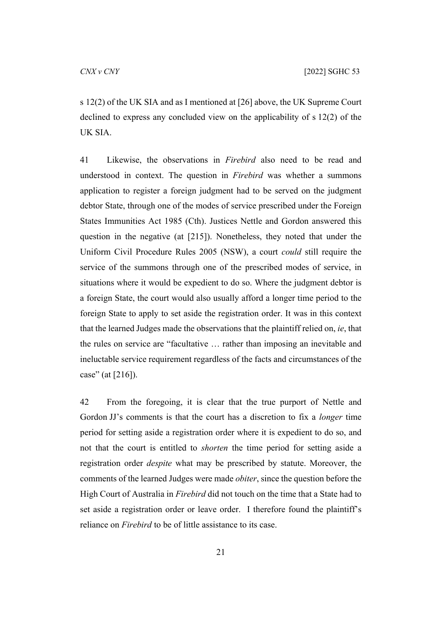s 12(2) of the UK SIA and as I mentioned at [\[26](#page-13-0)] above, the UK Supreme Court declined to express any concluded view on the applicability of s 12(2) of the UK SIA.

41 Likewise, the observations in *Firebird* also need to be read and understood in context. The question in *Firebird* was whether a summons application to register a foreign judgment had to be served on the judgment debtor State, through one of the modes of service prescribed under the Foreign States Immunities Act 1985 (Cth). Justices Nettle and Gordon answered this question in the negative (at [215]). Nonetheless, they noted that under the Uniform Civil Procedure Rules 2005 (NSW), a court *could* still require the service of the summons through one of the prescribed modes of service, in situations where it would be expedient to do so. Where the judgment debtor is a foreign State, the court would also usually afford a longer time period to the foreign State to apply to set aside the registration order. It was in this context that the learned Judges made the observations that the plaintiff relied on, *ie*, that the rules on service are "facultative … rather than imposing an inevitable and ineluctable service requirement regardless of the facts and circumstances of the case" (at [216]).

42 From the foregoing, it is clear that the true purport of Nettle and Gordon JJ's comments is that the court has a discretion to fix a *longer* time period for setting aside a registration order where it is expedient to do so, and not that the court is entitled to *shorten* the time period for setting aside a registration order *despite* what may be prescribed by statute. Moreover, the comments of the learned Judges were made *obiter*, since the question before the High Court of Australia in *Firebird* did not touch on the time that a State had to set aside a registration order or leave order. I therefore found the plaintiff's reliance on *Firebird* to be of little assistance to its case.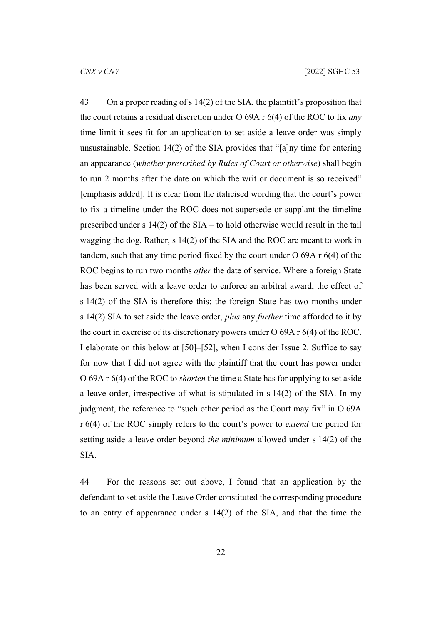<span id="page-23-0"></span>43 On a proper reading of s 14(2) of the SIA, the plaintiff's proposition that the court retains a residual discretion under O 69A r 6(4) of the ROC to fix *any*  time limit it sees fit for an application to set aside a leave order was simply unsustainable. Section 14(2) of the SIA provides that "[a]ny time for entering an appearance (*whether prescribed by Rules of Court or otherwise*) shall begin to run 2 months after the date on which the writ or document is so received" [emphasis added]. It is clear from the italicised wording that the court's power to fix a timeline under the ROC does not supersede or supplant the timeline prescribed under s 14(2) of the SIA – to hold otherwise would result in the tail wagging the dog. Rather, s 14(2) of the SIA and the ROC are meant to work in tandem, such that any time period fixed by the court under O 69A r 6(4) of the ROC begins to run two months *after* the date of service. Where a foreign State has been served with a leave order to enforce an arbitral award, the effect of s 14(2) of the SIA is therefore this: the foreign State has two months under s 14(2) SIA to set aside the leave order, *plus* any *further* time afforded to it by the court in exercise of its discretionary powers under O 69A r 6(4) of the ROC. I elaborate on this below at [\[50](#page-27-0)]–[\[52](#page-28-0)], when I consider Issue 2. Suffice to say for now that I did not agree with the plaintiff that the court has power under O 69A r 6(4) of the ROC to *shorten* the time a State has for applying to set aside a leave order, irrespective of what is stipulated in s 14(2) of the SIA. In my judgment, the reference to "such other period as the Court may fix" in O 69A r 6(4) of the ROC simply refers to the court's power to *extend* the period for setting aside a leave order beyond *the minimum* allowed under s 14(2) of the SIA.

44 For the reasons set out above, I found that an application by the defendant to set aside the Leave Order constituted the corresponding procedure to an entry of appearance under s 14(2) of the SIA, and that the time the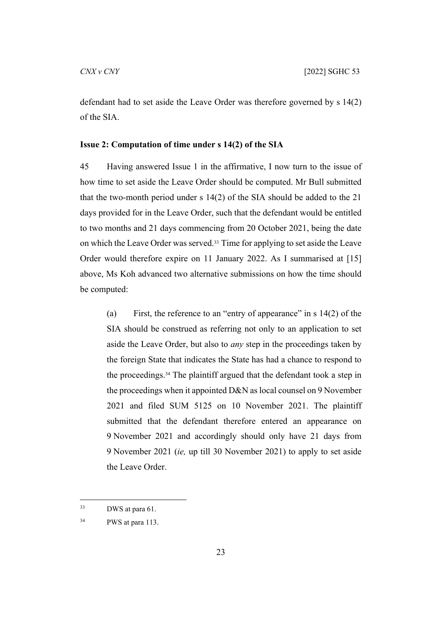defendant had to set aside the Leave Order was therefore governed by s 14(2) of the SIA.

#### <span id="page-24-0"></span>**Issue 2: Computation of time under s 14(2) of the SIA**

45 Having answered Issue 1 in the affirmative, I now turn to the issue of how time to set aside the Leave Order should be computed. Mr Bull submitted that the two-month period under s 14(2) of the SIA should be added to the 21 days provided for in the Leave Order, such that the defendant would be entitled to two months and 21 days commencing from 20 October 2021, being the date on which the Leave Order was served.33 Time for applying to set aside the Leave Order would therefore expire on 11 January 2022. As I summarised at [\[15](#page-8-0)] above, Ms Koh advanced two alternative submissions on how the time should be computed:

<span id="page-24-1"></span>(a) First, the reference to an "entry of appearance" in s 14(2) of the SIA should be construed as referring not only to an application to set aside the Leave Order, but also to *any* step in the proceedings taken by the foreign State that indicates the State has had a chance to respond to the proceedings.34 The plaintiff argued that the defendant took a step in the proceedings when it appointed D&N as local counsel on 9 November 2021 and filed SUM 5125 on 10 November 2021. The plaintiff submitted that the defendant therefore entered an appearance on 9 November 2021 and accordingly should only have 21 days from 9 November 2021 (*ie,* up till 30 November 2021) to apply to set aside the Leave Order.

<sup>33</sup> DWS at para 61.

<sup>34</sup> PWS at para 113.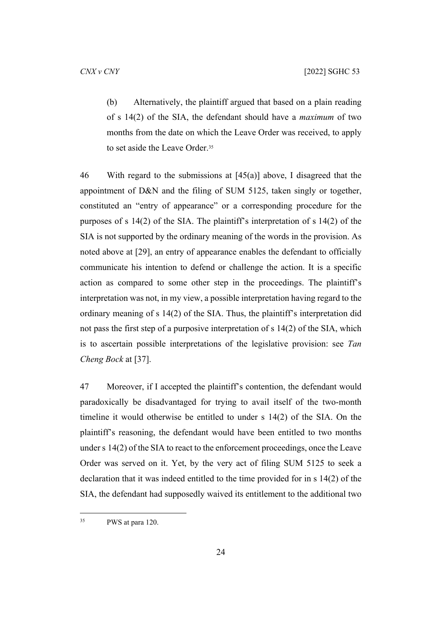<span id="page-25-0"></span>(b) Alternatively, the plaintiff argued that based on a plain reading of s 14(2) of the SIA, the defendant should have a *maximum* of two months from the date on which the Leave Order was received, to apply to set aside the Leave Order.<sup>35</sup>

46 With regard to the submissions at  $[45(a)]$  $[45(a)]$  above, I disagreed that the appointment of D&N and the filing of SUM 5125, taken singly or together, constituted an "entry of appearance" or a corresponding procedure for the purposes of s 14(2) of the SIA. The plaintiff's interpretation of s 14(2) of the SIA is not supported by the ordinary meaning of the words in the provision. As noted above at [\[29](#page-15-1)], an entry of appearance enables the defendant to officially communicate his intention to defend or challenge the action. It is a specific action as compared to some other step in the proceedings. The plaintiff's interpretation was not, in my view, a possible interpretation having regard to the ordinary meaning of s 14(2) of the SIA. Thus, the plaintiff's interpretation did not pass the first step of a purposive interpretation of s 14(2) of the SIA, which is to ascertain possible interpretations of the legislative provision: see *Tan Cheng Bock* at [37].

47 Moreover, if I accepted the plaintiff's contention, the defendant would paradoxically be disadvantaged for trying to avail itself of the two-month timeline it would otherwise be entitled to under s 14(2) of the SIA. On the plaintiff's reasoning, the defendant would have been entitled to two months under s 14(2) of the SIA to react to the enforcement proceedings, once the Leave Order was served on it. Yet, by the very act of filing SUM 5125 to seek a declaration that it was indeed entitled to the time provided for in s 14(2) of the SIA, the defendant had supposedly waived its entitlement to the additional two

<sup>35</sup> PWS at para 120.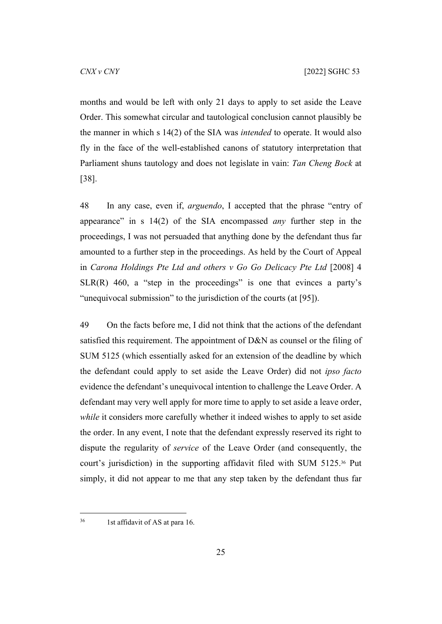months and would be left with only 21 days to apply to set aside the Leave Order. This somewhat circular and tautological conclusion cannot plausibly be the manner in which s 14(2) of the SIA was *intended* to operate. It would also fly in the face of the well-established canons of statutory interpretation that Parliament shuns tautology and does not legislate in vain: *Tan Cheng Bock* at [38].

48 In any case, even if, *arguendo*, I accepted that the phrase "entry of appearance" in s 14(2) of the SIA encompassed *any* further step in the proceedings, I was not persuaded that anything done by the defendant thus far amounted to a further step in the proceedings. As held by the Court of Appeal in *Carona Holdings Pte Ltd and others v Go Go Delicacy Pte Ltd* [2008] 4  $SLR(R)$  460, a "step in the proceedings" is one that evinces a party's "unequivocal submission" to the jurisdiction of the courts (at [95]).

49 On the facts before me, I did not think that the actions of the defendant satisfied this requirement. The appointment of D&N as counsel or the filing of SUM 5125 (which essentially asked for an extension of the deadline by which the defendant could apply to set aside the Leave Order) did not *ipso facto* evidence the defendant's unequivocal intention to challenge the Leave Order. A defendant may very well apply for more time to apply to set aside a leave order, *while* it considers more carefully whether it indeed wishes to apply to set aside the order. In any event, I note that the defendant expressly reserved its right to dispute the regularity of *service* of the Leave Order (and consequently, the court's jurisdiction) in the supporting affidavit filed with SUM 5125.36 Put simply, it did not appear to me that any step taken by the defendant thus far

<sup>36</sup> 1st affidavit of AS at para 16.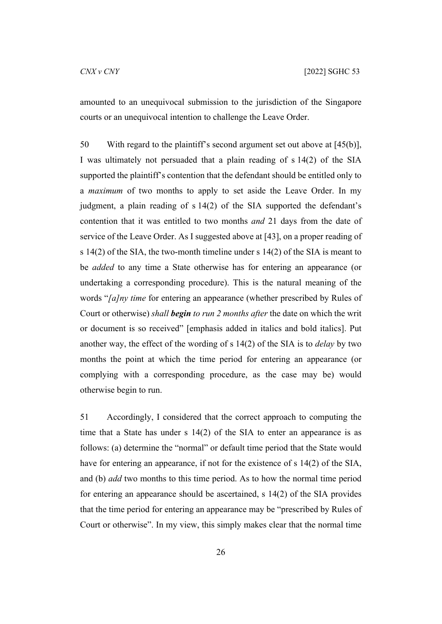amounted to an unequivocal submission to the jurisdiction of the Singapore courts or an unequivocal intention to challenge the Leave Order.

<span id="page-27-0"></span>50 With regard to the plaintiff's second argument set out above at [\[45\(b\)](#page-25-0)], I was ultimately not persuaded that a plain reading of s 14(2) of the SIA supported the plaintiff's contention that the defendant should be entitled only to a *maximum* of two months to apply to set aside the Leave Order. In my judgment, a plain reading of s 14(2) of the SIA supported the defendant's contention that it was entitled to two months *and* 21 days from the date of service of the Leave Order. As I suggested above at [\[43](#page-23-0)], on a proper reading of s 14(2) of the SIA, the two-month timeline under s 14(2) of the SIA is meant to be *added* to any time a State otherwise has for entering an appearance (or undertaking a corresponding procedure). This is the natural meaning of the words "*[a]ny time* for entering an appearance (whether prescribed by Rules of Court or otherwise) *shall begin to run 2 months after* the date on which the writ or document is so received" [emphasis added in italics and bold italics]. Put another way, the effect of the wording of s 14(2) of the SIA is to *delay* by two months the point at which the time period for entering an appearance (or complying with a corresponding procedure, as the case may be) would otherwise begin to run.

51 Accordingly, I considered that the correct approach to computing the time that a State has under s 14(2) of the SIA to enter an appearance is as follows: (a) determine the "normal" or default time period that the State would have for entering an appearance, if not for the existence of s 14(2) of the SIA, and (b) *add* two months to this time period. As to how the normal time period for entering an appearance should be ascertained, s 14(2) of the SIA provides that the time period for entering an appearance may be "prescribed by Rules of Court or otherwise". In my view, this simply makes clear that the normal time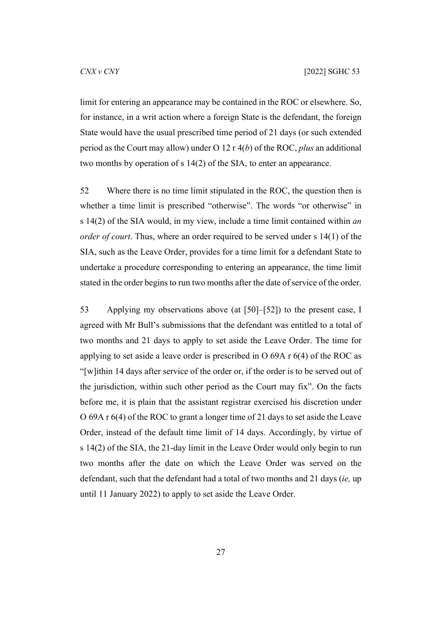limit for entering an appearance may be contained in the ROC or elsewhere. So, for instance, in a writ action where a foreign State is the defendant, the foreign State would have the usual prescribed time period of 21 days (or such extended period as the Court may allow) under O 12 r 4(*b*) of the ROC, *plus* an additional two months by operation of s 14(2) of the SIA, to enter an appearance.

<span id="page-28-0"></span>52 Where there is no time limit stipulated in the ROC, the question then is whether a time limit is prescribed "otherwise". The words "or otherwise" in s 14(2) of the SIA would, in my view, include a time limit contained within *an order of court*. Thus, where an order required to be served under s 14(1) of the SIA, such as the Leave Order, provides for a time limit for a defendant State to undertake a procedure corresponding to entering an appearance, the time limit stated in the order begins to run two months after the date of service of the order.

53 Applying my observations above (at [[50\]](#page-27-0)–[[52\]](#page-28-0)) to the present case, I agreed with Mr Bull's submissions that the defendant was entitled to a total of two months and 21 days to apply to set aside the Leave Order. The time for applying to set aside a leave order is prescribed in O 69A r 6(4) of the ROC as "[w]ithin 14 days after service of the order or, if the order is to be served out of the jurisdiction, within such other period as the Court may fix". On the facts before me, it is plain that the assistant registrar exercised his discretion under O 69A r 6(4) of the ROC to grant a longer time of 21 days to set aside the Leave Order, instead of the default time limit of 14 days. Accordingly, by virtue of s 14(2) of the SIA, the 21-day limit in the Leave Order would only begin to run two months after the date on which the Leave Order was served on the defendant, such that the defendant had a total of two months and 21 days (*ie,* up until 11 January 2022) to apply to set aside the Leave Order.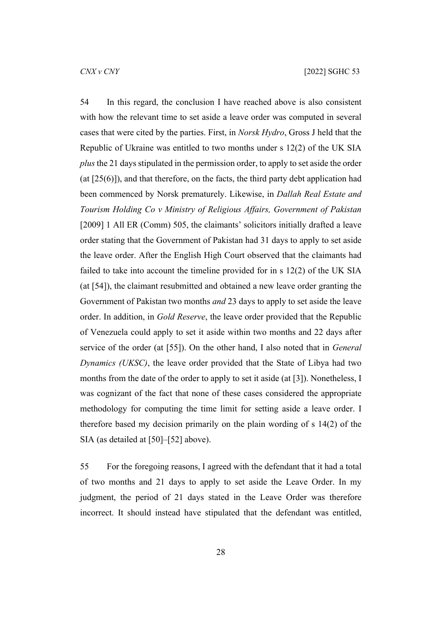54 In this regard, the conclusion I have reached above is also consistent with how the relevant time to set aside a leave order was computed in several cases that were cited by the parties. First, in *Norsk Hydro*, Gross J held that the Republic of Ukraine was entitled to two months under s 12(2) of the UK SIA *plus* the 21 days stipulated in the permission order, to apply to set aside the order (at [25(6)]), and that therefore, on the facts, the third party debt application had been commenced by Norsk prematurely. Likewise, in *Dallah Real Estate and Tourism Holding Co v Ministry of Religious Affairs, Government of Pakistan*  [2009] 1 All ER (Comm) 505, the claimants' solicitors initially drafted a leave order stating that the Government of Pakistan had 31 days to apply to set aside the leave order. After the English High Court observed that the claimants had failed to take into account the timeline provided for in s 12(2) of the UK SIA (at [54]), the claimant resubmitted and obtained a new leave order granting the Government of Pakistan two months *and* 23 days to apply to set aside the leave order. In addition, in *Gold Reserve*, the leave order provided that the Republic of Venezuela could apply to set it aside within two months and 22 days after service of the order (at [55]). On the other hand, I also noted that in *General Dynamics (UKSC)*, the leave order provided that the State of Libya had two months from the date of the order to apply to set it aside (at [3]). Nonetheless, I was cognizant of the fact that none of these cases considered the appropriate methodology for computing the time limit for setting aside a leave order. I therefore based my decision primarily on the plain wording of s 14(2) of the SIA (as detailed at [[50\]](#page-27-0)–[[52\]](#page-28-0) above).

55 For the foregoing reasons, I agreed with the defendant that it had a total of two months and 21 days to apply to set aside the Leave Order. In my judgment, the period of 21 days stated in the Leave Order was therefore incorrect. It should instead have stipulated that the defendant was entitled,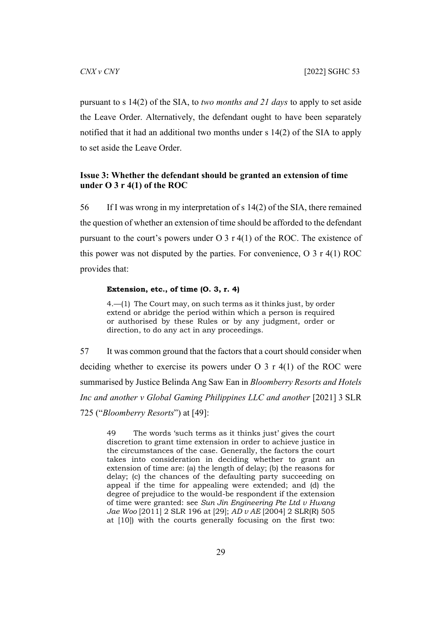pursuant to s 14(2) of the SIA, to *two months and 21 days* to apply to set aside the Leave Order. Alternatively, the defendant ought to have been separately notified that it had an additional two months under s 14(2) of the SIA to apply to set aside the Leave Order.

# <span id="page-30-0"></span>**Issue 3: Whether the defendant should be granted an extension of time under O 3 r 4(1) of the ROC**

56 If I was wrong in my interpretation of s 14(2) of the SIA, there remained the question of whether an extension of time should be afforded to the defendant pursuant to the court's powers under  $O_3$  r 4(1) of the ROC. The existence of this power was not disputed by the parties. For convenience, O 3 r 4(1) ROC provides that:

#### **Extension, etc., of time (O. 3, r. 4)**

4.—(1) The Court may, on such terms as it thinks just, by order extend or abridge the period within which a person is required or authorised by these Rules or by any judgment, order or direction, to do any act in any proceedings.

57 It was common ground that the factors that a court should consider when deciding whether to exercise its powers under  $O(3)$  r 4(1) of the ROC were summarised by Justice Belinda Ang Saw Ean in *Bloomberry Resorts and Hotels Inc and another v Global Gaming Philippines LLC and another* [2021] 3 SLR 725 ("*Bloomberry Resorts*") at [49]:

49 The words 'such terms as it thinks just' gives the court discretion to grant time extension in order to achieve justice in the circumstances of the case. Generally, the factors the court takes into consideration in deciding whether to grant an extension of time are: (a) the length of delay; (b) the reasons for delay; (c) the chances of the defaulting party succeeding on appeal if the time for appealing were extended; and (d) the degree of prejudice to the would-be respondent if the extension of time were granted: see *Sun Jin Engineering Pte Ltd v Hwang Jae Woo* [2011] 2 SLR 196 at [29]; *AD v AE* [2004] 2 SLR(R) 505 at [10]) with the courts generally focusing on the first two: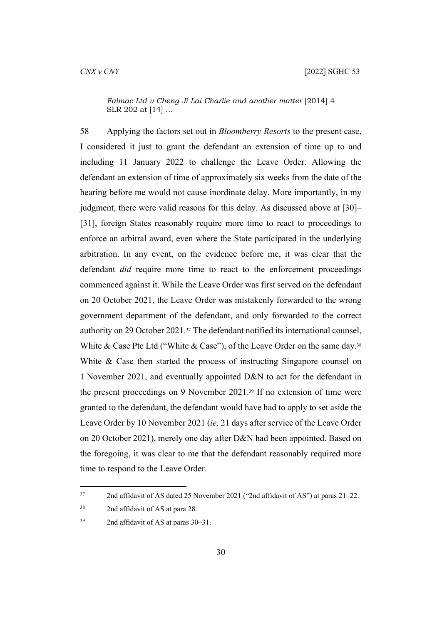*Falmac Ltd v Cheng Ji Lai Charlie and another matter* [2014] 4 SLR 202 at [14] …

58 Applying the factors set out in *Bloomberry Resorts* to the present case, I considered it just to grant the defendant an extension of time up to and including 11 January 2022 to challenge the Leave Order. Allowing the defendant an extension of time of approximately six weeks from the date of the hearing before me would not cause inordinate delay. More importantly, in my judgment, there were valid reasons for this delay. As discussed above at [\[30](#page-16-0)]– [[31\]](#page-17-0), foreign States reasonably require more time to react to proceedings to enforce an arbitral award, even where the State participated in the underlying arbitration. In any event, on the evidence before me, it was clear that the defendant *did* require more time to react to the enforcement proceedings commenced against it. While the Leave Order was first served on the defendant on 20 October 2021, the Leave Order was mistakenly forwarded to the wrong government department of the defendant, and only forwarded to the correct authority on 29 October 2021.37 The defendant notified its international counsel, White & Case Pte Ltd ("White & Case"), of the Leave Order on the same day.<sup>38</sup> White & Case then started the process of instructing Singapore counsel on 1 November 2021, and eventually appointed D&N to act for the defendant in the present proceedings on 9 November 2021.39 If no extension of time were granted to the defendant, the defendant would have had to apply to set aside the Leave Order by 10 November 2021 (*ie,* 21 days after service of the Leave Order on 20 October 2021), merely one day after D&N had been appointed. Based on the foregoing, it was clear to me that the defendant reasonably required more time to respond to the Leave Order.

<sup>37</sup> 2nd affidavit of AS dated 25 November 2021 ("2nd affidavit of AS") at paras 21–22.

<sup>38</sup> 2nd affidavit of AS at para 28.

<sup>39</sup> 2nd affidavit of AS at paras 30–31.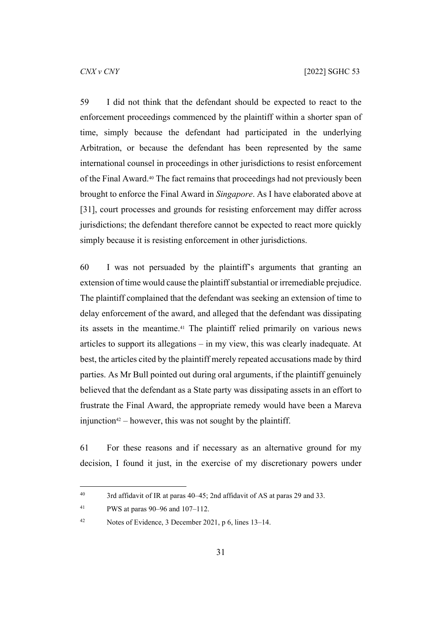59 I did not think that the defendant should be expected to react to the enforcement proceedings commenced by the plaintiff within a shorter span of time, simply because the defendant had participated in the underlying Arbitration, or because the defendant has been represented by the same international counsel in proceedings in other jurisdictions to resist enforcement of the Final Award.40 The fact remains that proceedings had not previously been brought to enforce the Final Award in *Singapore*. As I have elaborated above at [[31\]](#page-17-0), court processes and grounds for resisting enforcement may differ across jurisdictions; the defendant therefore cannot be expected to react more quickly simply because it is resisting enforcement in other jurisdictions.

60 I was not persuaded by the plaintiff's arguments that granting an extension of time would cause the plaintiff substantial or irremediable prejudice. The plaintiff complained that the defendant was seeking an extension of time to delay enforcement of the award, and alleged that the defendant was dissipating its assets in the meantime.<sup>41</sup> The plaintiff relied primarily on various news articles to support its allegations – in my view, this was clearly inadequate. At best, the articles cited by the plaintiff merely repeated accusations made by third parties. As Mr Bull pointed out during oral arguments, if the plaintiff genuinely believed that the defendant as a State party was dissipating assets in an effort to frustrate the Final Award, the appropriate remedy would have been a Mareva injunction<sup>42</sup> – however, this was not sought by the plaintiff.

<span id="page-32-0"></span>61 For these reasons and if necessary as an alternative ground for my decision, I found it just, in the exercise of my discretionary powers under

<sup>40</sup> 3rd affidavit of IR at paras 40–45; 2nd affidavit of AS at paras 29 and 33.

<sup>41</sup> PWS at paras 90–96 and 107–112.

<sup>42</sup> Notes of Evidence, 3 December 2021, p 6, lines 13–14.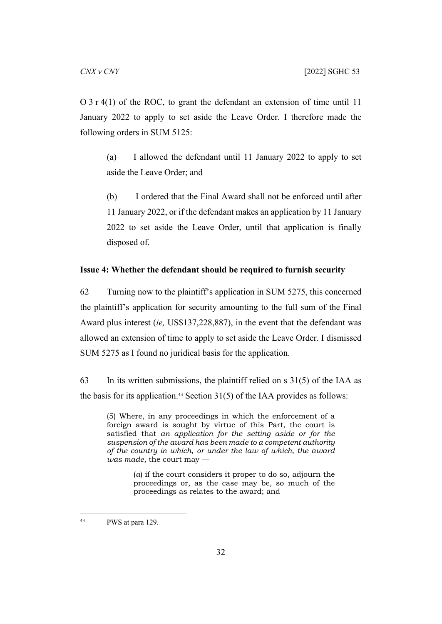O 3 r 4(1) of the ROC, to grant the defendant an extension of time until 11 January 2022 to apply to set aside the Leave Order. I therefore made the following orders in SUM 5125:

(a) I allowed the defendant until 11 January 2022 to apply to set aside the Leave Order; and

(b) I ordered that the Final Award shall not be enforced until after 11 January 2022, or if the defendant makes an application by 11 January 2022 to set aside the Leave Order, until that application is finally disposed of.

#### <span id="page-33-0"></span>**Issue 4: Whether the defendant should be required to furnish security**

62 Turning now to the plaintiff's application in SUM 5275, this concerned the plaintiff's application for security amounting to the full sum of the Final Award plus interest (*ie,* US\$137,228,887), in the event that the defendant was allowed an extension of time to apply to set aside the Leave Order. I dismissed SUM 5275 as I found no juridical basis for the application.

63 In its written submissions, the plaintiff relied on s 31(5) of the IAA as the basis for its application.<sup>43</sup> Section  $31(5)$  of the IAA provides as follows:

(5) Where, in any proceedings in which the enforcement of a foreign award is sought by virtue of this Part, the court is satisfied that *an application for the setting aside or for the suspension of the award has been made to a competent authority of the country in which*, *or under the law of which, the award was made*, the court may —

> (*a*) if the court considers it proper to do so, adjourn the proceedings or, as the case may be, so much of the proceedings as relates to the award; and

<sup>43</sup> PWS at para 129.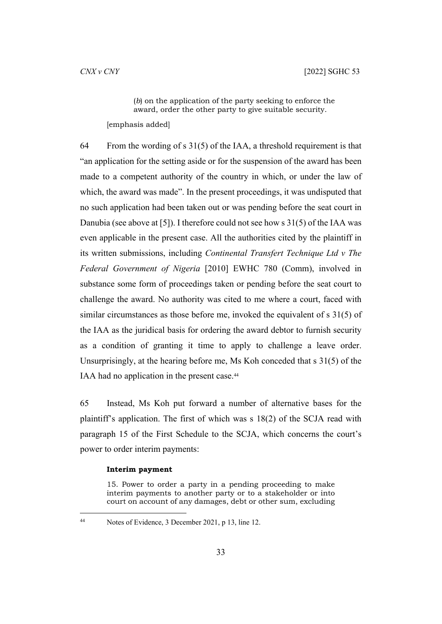(*b*) on the application of the party seeking to enforce the award, order the other party to give suitable security. [emphasis added]

64 From the wording of s  $31(5)$  of the IAA, a threshold requirement is that "an application for the setting aside or for the suspension of the award has been made to a competent authority of the country in which, or under the law of which, the award was made". In the present proceedings, it was undisputed that no such application had been taken out or was pending before the seat court in Danubia (see above at [\[5](#page-3-1)]). I therefore could not see how s 31(5) of the IAA was even applicable in the present case. All the authorities cited by the plaintiff in its written submissions, including *Continental Transfert Technique Ltd v The Federal Government of Nigeria* [2010] EWHC 780 (Comm), involved in substance some form of proceedings taken or pending before the seat court to challenge the award. No authority was cited to me where a court, faced with similar circumstances as those before me, invoked the equivalent of s 31(5) of the IAA as the juridical basis for ordering the award debtor to furnish security as a condition of granting it time to apply to challenge a leave order. Unsurprisingly, at the hearing before me, Ms Koh conceded that s 31(5) of the IAA had no application in the present case.<sup>44</sup>

65 Instead, Ms Koh put forward a number of alternative bases for the plaintiff's application. The first of which was s 18(2) of the SCJA read with paragraph 15 of the First Schedule to the SCJA, which concerns the court's power to order interim payments:

#### **Interim payment**

15. Power to order a party in a pending proceeding to make interim payments to another party or to a stakeholder or into court on account of any damages, debt or other sum, excluding

<sup>44</sup> Notes of Evidence, 3 December 2021, p 13, line 12.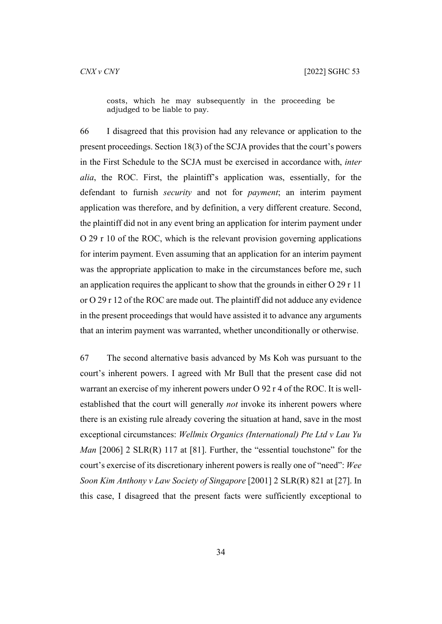costs, which he may subsequently in the proceeding be adjudged to be liable to pay.

66 I disagreed that this provision had any relevance or application to the present proceedings. Section 18(3) of the SCJA provides that the court's powers in the First Schedule to the SCJA must be exercised in accordance with, *inter alia*, the ROC. First, the plaintiff's application was, essentially, for the defendant to furnish *security* and not for *payment*; an interim payment application was therefore, and by definition, a very different creature. Second, the plaintiff did not in any event bring an application for interim payment under O 29 r 10 of the ROC, which is the relevant provision governing applications for interim payment. Even assuming that an application for an interim payment was the appropriate application to make in the circumstances before me, such an application requires the applicant to show that the grounds in either O 29 r 11 or O 29 r 12 of the ROC are made out. The plaintiff did not adduce any evidence in the present proceedings that would have assisted it to advance any arguments that an interim payment was warranted, whether unconditionally or otherwise.

67 The second alternative basis advanced by Ms Koh was pursuant to the court's inherent powers. I agreed with Mr Bull that the present case did not warrant an exercise of my inherent powers under O 92 r 4 of the ROC. It is wellestablished that the court will generally *not* invoke its inherent powers where there is an existing rule already covering the situation at hand, save in the most exceptional circumstances: *Wellmix Organics (International) Pte Ltd v Lau Yu Man* [2006] 2 SLR(R) 117 at [81]. Further, the "essential touchstone" for the court's exercise of its discretionary inherent powers is really one of "need": *Wee Soon Kim Anthony v Law Society of Singapore* [2001] 2 SLR(R) 821 at [27]. In this case, I disagreed that the present facts were sufficiently exceptional to